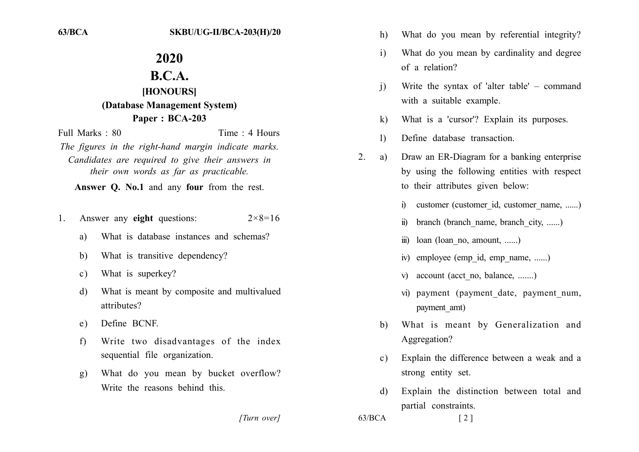## 2020

## $B.C.A.$

## [HONOURS] (Database Management System) Paper: BCA-203

Time  $\cdot$  4 Hours Full Marks  $\cdot$  80 The figures in the right-hand margin indicate marks.

Candidates are required to give their answers in their own words as far as practicable.

Answer O. No.1 and any four from the rest.

- Answer any eight questions:  $2 \times 8 = 16$  $\mathbf{1}$ 
	- What is database instances and schemas? a)
	- What is transitive dependency? b)
	- What is superkey?  $c)$
	- What is meant by composite and multivalued d) attributes?
	- Define BCNF. e)
	- Write two disadvantages of the index  $f$ ) sequential file organization.
	- What do you mean by bucket overflow?  $g)$ Write the reasons behind this

[Turn over]

- What do you mean by referential integrity?  $h)$
- What do you mean by cardinality and degree  $\mathbf{i}$ of a relation?
- Write the syntax of 'alter table' command  $\overline{1}$ with a suitable example.
- What is a 'cursor'? Explain its purposes.  $\bf k$
- Define database transaction.  $\mathbf{I}$
- $2^{\circ}$ Draw an ER-Diagram for a banking enterprise a) by using the following entities with respect to their attributes given below:
	- customer (customer id, customer name, ......)  $\mathbf{a}$
	- $\ddot{m}$ branch (branch name, branch city, ......)
	- $loan$  (loan no, amount, ......)  $\dddot{\mathbf{m}}$
	- iv) employee (emp id, emp name, ......)
	- v) account (acct no, balance, .......)
	- vi) payment (payment date, payment num, payment amt)
	- What is meant by Generalization and b) Aggregation?
	- Explain the difference between a weak and a  $\mathbf{c}$ ) strong entity set.
	- Explain the distinction between total and  $\mathcal{A}$ partial constraints.

 $\lceil 2 \rceil$ 

 $63/BCA$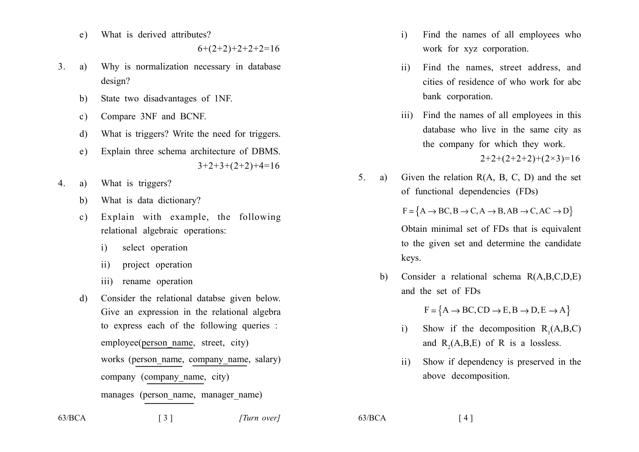What is derived attributes?  $e)$ 

 $6+(2+2)+2+2+2=16$ 

- $3<sub>1</sub>$ Why is normalization necessary in database a) design?
	- State two disadvantages of 1NF. b)
	- Compare 3NF and BCNF.  $\mathbf{c}$ )
	- What is triggers? Write the need for triggers.  $\mathbf{d}$
	- Explain three schema architecture of DBMS.  $e)$  $3+2+3+(2+2)+4=16$
- What is triggers?  $\overline{4}$ . a)
	- What is data dictionary? b)
	- Explain with example, the following  $c)$ relational algebraic operations:
		- select operation  $\mathbf{i}$
		- project operation  $ii)$
		- iii) rename operation
	- Consider the relational databse given below. d) Give an expression in the relational algebra to express each of the following queries : employee(person name, street, city) works (person name, company name, salary) company (company name, city) manages (person name, manager name)
- $\mathbf{i}$ Find the names of all employees who work for xyz corporation.
- Find the names, street address, and  $\mathbf{ii}$ cities of residence of who work for abc bank corporation.
- iii) Find the names of all employees in this database who live in the same city as the company for which they work.

 $2+2+(2+2+2)+(2\times3)=16$ 

 $5<sup>1</sup>$ Given the relation  $R(A, B, C, D)$  and the set a) of functional dependencies (FDs)

 $F = \{A \rightarrow BC, B \rightarrow C, A \rightarrow B, AB \rightarrow C, AC \rightarrow D\}$ 

Obtain minimal set of FDs that is equivalent to the given set and determine the candidate keys.

Consider a relational schema R(A,B,C,D,E)  $h$ and the set of FDs

 $F = \{A \rightarrow BC, CD \rightarrow E, B \rightarrow D, E \rightarrow A\}$ 

- Show if the decomposition  $R_1(A, B, C)$  $\mathbf{i}$ and  $R_2(A,B,E)$  of R is a lossless.
- Show if dependency is preserved in the  $\overline{11}$ above decomposition.

 $63/BCA$